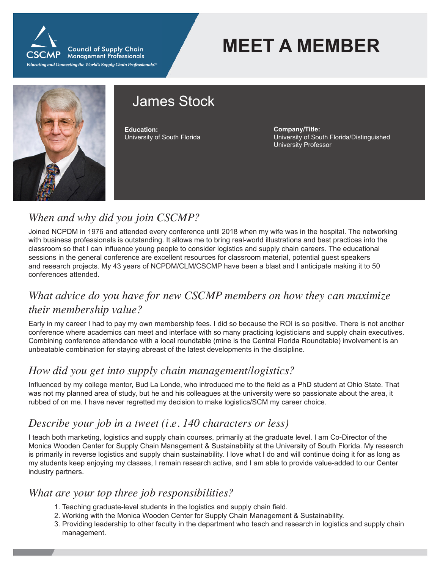

**MEET A MEMBER**



# James Stock

**Education:** University of South Florida **Company/Title:** University of South Florida/Distinguished University Professor

## *When and why did you join CSCMP?*

Joined NCPDM in 1976 and attended every conference until 2018 when my wife was in the hospital. The networking with business professionals is outstanding. It allows me to bring real-world illustrations and best practices into the classroom so that I can influence young people to consider logistics and supply chain careers. The educational sessions in the general conference are excellent resources for classroom material, potential guest speakers and research projects. My 43 years of NCPDM/CLM/CSCMP have been a blast and I anticipate making it to 50 conferences attended.

## *What advice do you have for new CSCMP members on how they can maximize their membership value?*

Early in my career I had to pay my own membership fees. I did so because the ROI is so positive. There is not another conference where academics can meet and interface with so many practicing logisticians and supply chain executives. Combining conference attendance with a local roundtable (mine is the Central Florida Roundtable) involvement is an unbeatable combination for staying abreast of the latest developments in the discipline.

#### *How did you get into supply chain management/logistics?*

Influenced by my college mentor, Bud La Londe, who introduced me to the field as a PhD student at Ohio State. That was not my planned area of study, but he and his colleagues at the university were so passionate about the area, it rubbed of on me. I have never regretted my decision to make logistics/SCM my career choice.

## *Describe your job in a tweet (i.e. 140 characters or less)*

I teach both marketing, logistics and supply chain courses, primarily at the graduate level. I am Co-Director of the Monica Wooden Center for Supply Chain Management & Sustainability at the University of South Florida. My research is primarily in reverse logistics and supply chain sustainability. I love what I do and will continue doing it for as long as my students keep enjoying my classes, I remain research active, and I am able to provide value-added to our Center industry partners.

#### *What are your top three job responsibilities?*

- 1. Teaching graduate-level students in the logistics and supply chain field.
- 2. Working with the Monica Wooden Center for Supply Chain Management & Sustainability.
- 3. Providing leadership to other faculty in the department who teach and research in logistics and supply chain management.